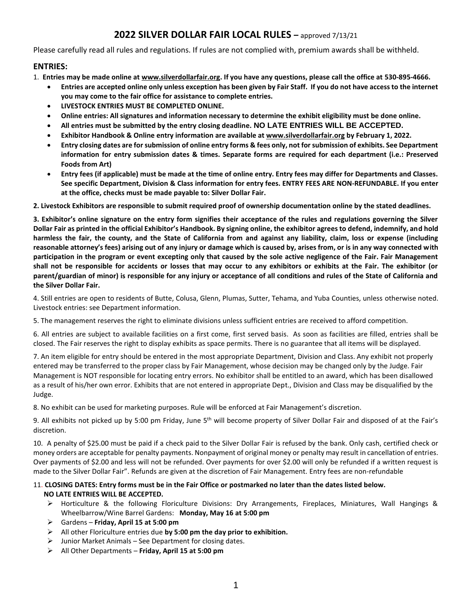# **2022 SILVER DOLLAR FAIR LOCAL RULES –** approved 7/13/21

Please carefully read all rules and regulations. If rules are not complied with, premium awards shall be withheld.

# **ENTRIES:**

1. **Entries may be made online at www.silverdollarfair.org. If you have any questions, please call the office at 530-895-4666.**

- **Entries are accepted online only unless exception has been given by Fair Staff. If you do not have access to the internet you may come to the fair office for assistance to complete entries.**
- **LIVESTOCK ENTRIES MUST BE COMPLETED ONLINE.**
- **Online entries: All signatures and information necessary to determine the exhibit eligibility must be done online.**
- **All entries must be submitted by the entry closing deadline. NO LATE ENTRIES WILL BE ACCEPTED.**
- **Exhibitor Handbook & Online entry information are available at www.silverdollarfair.org by February 1, 2022.**
- **Entry closing dates are for submission of online entry forms & fees only, not for submission of exhibits. See Department information for entry submission dates & times. Separate forms are required for each department (i.e.: Preserved Foods from Art)**
- **Entry fees (if applicable) must be made at the time of online entry. Entry fees may differ for Departments and Classes. See specific Department, Division & Class information for entry fees. ENTRY FEES ARE NON-REFUNDABLE. If you enter at the office, checks must be made payable to: Silver Dollar Fair.**

**2. Livestock Exhibitors are responsible to submit required proof of ownership documentation online by the stated deadlines.** 

**3. Exhibitor's online signature on the entry form signifies their acceptance of the rules and regulations governing the Silver Dollar Fair as printed in the official Exhibitor's Handbook. By signing online, the exhibitor agrees to defend, indemnify, and hold harmless the fair, the county, and the State of California from and against any liability, claim, loss or expense (including reasonable attorney's fees) arising out of any injury or damage which is caused by, arises from, or is in any way connected with participation in the program or event excepting only that caused by the sole active negligence of the Fair. Fair Management shall not be responsible for accidents or losses that may occur to any exhibitors or exhibits at the Fair. The exhibitor (or parent/guardian of minor) is responsible for any injury or acceptance of all conditions and rules of the State of California and the Silver Dollar Fair.**

4. Still entries are open to residents of Butte, Colusa, Glenn, Plumas, Sutter, Tehama, and Yuba Counties, unless otherwise noted. Livestock entries: see Department information.

5. The management reserves the right to eliminate divisions unless sufficient entries are received to afford competition.

6. All entries are subject to available facilities on a first come, first served basis. As soon as facilities are filled, entries shall be closed. The Fair reserves the right to display exhibits as space permits. There is no guarantee that all items will be displayed.

7. An item eligible for entry should be entered in the most appropriate Department, Division and Class. Any exhibit not properly entered may be transferred to the proper class by Fair Management, whose decision may be changed only by the Judge. Fair Management is NOT responsible for locating entry errors. No exhibitor shall be entitled to an award, which has been disallowed as a result of his/her own error. Exhibits that are not entered in appropriate Dept., Division and Class may be disqualified by the Judge.

8. No exhibit can be used for marketing purposes. Rule will be enforced at Fair Management's discretion.

9. All exhibits not picked up by 5:00 pm Friday, June 5<sup>th</sup> will become property of Silver Dollar Fair and disposed of at the Fair's discretion.

10. A penalty of \$25.00 must be paid if a check paid to the Silver Dollar Fair is refused by the bank. Only cash, certified check or money orders are acceptable for penalty payments. Nonpayment of original money or penalty may result in cancellation of entries. Over payments of \$2.00 and less will not be refunded. Over payments for over \$2.00 will only be refunded if a written request is made to the Silver Dollar Fair". Refunds are given at the discretion of Fair Management. Entry fees are non-refundable

#### 11. **CLOSING DATES: Entry forms must be in the Fair Office or postmarked no later than the dates listed below. NO LATE ENTRIES WILL BE ACCEPTED.**

- ➢ Horticulture & the following Floriculture Divisions: Dry Arrangements, Fireplaces, Miniatures, Wall Hangings & Wheelbarrow/Wine Barrel Gardens: **Monday, May 16 at 5:00 pm**
- ➢ Gardens **Friday, April 15 at 5:00 pm**
- ➢ All other Floriculture entries due **by 5:00 pm the day prior to exhibition.**
- $\triangleright$  Junior Market Animals See Department for closing dates.
- ➢ All Other Departments **Friday, April 15 at 5:00 pm**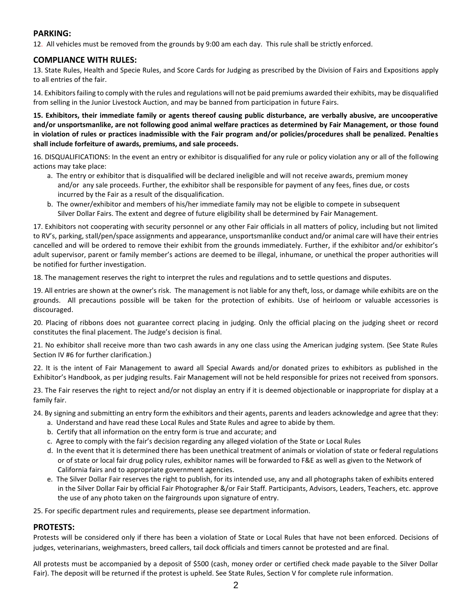# **PARKING:**

12. All vehicles must be removed from the grounds by 9:00 am each day. This rule shall be strictly enforced.

# **COMPLIANCE WITH RULES:**

13. State Rules, Health and Specie Rules, and Score Cards for Judging as prescribed by the Division of Fairs and Expositions apply to all entries of the fair.

14. Exhibitors failing to comply with the rules and regulations will not be paid premiums awarded their exhibits, may be disqualified from selling in the Junior Livestock Auction, and may be banned from participation in future Fairs.

**15. Exhibitors, their immediate family or agents thereof causing public disturbance, are verbally abusive, are uncooperative and/or unsportsmanlike, are not following good animal welfare practices as determined by Fair Management, or those found in violation of rules or practices inadmissible with the Fair program and/or policies/procedures shall be penalized. Penalties shall include forfeiture of awards, premiums, and sale proceeds.**

16. DISQUALIFICATIONS: In the event an entry or exhibitor is disqualified for any rule or policy violation any or all of the following actions may take place:

- a. The entry or exhibitor that is disqualified will be declared ineligible and will not receive awards, premium money and/or any sale proceeds. Further, the exhibitor shall be responsible for payment of any fees, fines due, or costs incurred by the Fair as a result of the disqualification.
- b. The owner/exhibitor and members of his/her immediate family may not be eligible to compete in subsequent Silver Dollar Fairs. The extent and degree of future eligibility shall be determined by Fair Management.

17. Exhibitors not cooperating with security personnel or any other Fair officials in all matters of policy, including but not limited to RV's, parking, stall/pen/space assignments and appearance, unsportsmanlike conduct and/or animal care will have their entries cancelled and will be ordered to remove their exhibit from the grounds immediately. Further, if the exhibitor and/or exhibitor's adult supervisor, parent or family member's actions are deemed to be illegal, inhumane, or unethical the proper authorities will be notified for further investigation.

18. The management reserves the right to interpret the rules and regulations and to settle questions and disputes.

19. All entries are shown at the owner's risk. The management is not liable for any theft, loss, or damage while exhibits are on the grounds. All precautions possible will be taken for the protection of exhibits. Use of heirloom or valuable accessories is discouraged.

20. Placing of ribbons does not guarantee correct placing in judging. Only the official placing on the judging sheet or record constitutes the final placement. The Judge's decision is final.

21. No exhibitor shall receive more than two cash awards in any one class using the American judging system. (See State Rules Section IV #6 for further clarification.)

22. It is the intent of Fair Management to award all Special Awards and/or donated prizes to exhibitors as published in the Exhibitor's Handbook, as per judging results. Fair Management will not be held responsible for prizes not received from sponsors.

23. The Fair reserves the right to reject and/or not display an entry if it is deemed objectionable or inappropriate for display at a family fair.

24. By signing and submitting an entry form the exhibitors and their agents, parents and leaders acknowledge and agree that they:

- a. Understand and have read these Local Rules and State Rules and agree to abide by them.
- b. Certify that all information on the entry form is true and accurate; and
- c. Agree to comply with the fair's decision regarding any alleged violation of the State or Local Rules
- d. In the event that it is determined there has been unethical treatment of animals or violation of state or federal regulations or of state or local fair drug policy rules, exhibitor names will be forwarded to F&E as well as given to the Network of California fairs and to appropriate government agencies.
- e. The Silver Dollar Fair reserves the right to publish, for its intended use, any and all photographs taken of exhibits entered in the Silver Dollar Fair by official Fair Photographer &/or Fair Staff. Participants, Advisors, Leaders, Teachers, etc. approve the use of any photo taken on the fairgrounds upon signature of entry.

25. For specific department rules and requirements, please see department information.

# **PROTESTS:**

Protests will be considered only if there has been a violation of State or Local Rules that have not been enforced. Decisions of judges, veterinarians, weighmasters, breed callers, tail dock officials and timers cannot be protested and are final.

All protests must be accompanied by a deposit of \$500 (cash, money order or certified check made payable to the Silver Dollar Fair). The deposit will be returned if the protest is upheld. See State Rules, Section V for complete rule information.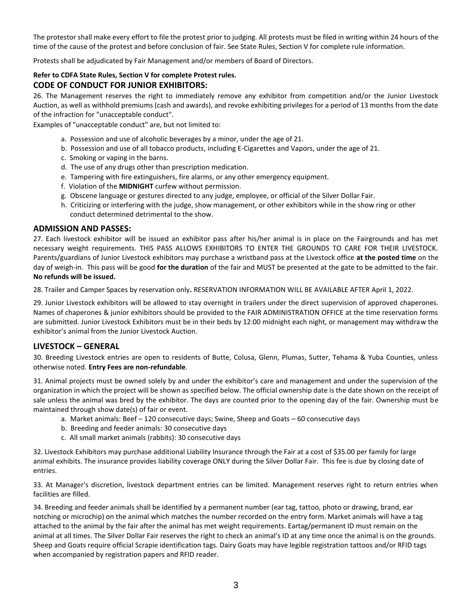The protestor shall make every effort to file the protest prior to judging. All protests must be filed in writing within 24 hours of the time of the cause of the protest and before conclusion of fair. See State Rules, Section V for complete rule information.

Protests shall be adjudicated by Fair Management and/or members of Board of Directors.

# **Refer to CDFA State Rules, Section V for complete Protest rules.**

# **CODE OF CONDUCT FOR JUNIOR EXHIBITORS:**

26. The Management reserves the right to immediately remove any exhibitor from competition and/or the Junior Livestock Auction, as well as withhold premiums (cash and awards), and revoke exhibiting privileges for a period of 13 months from the date of the infraction for "unacceptable conduct".

Examples of "unacceptable conduct" are, but not limited to:

- a. Possession and use of alcoholic beverages by a minor, under the age of 21.
- b. Possession and use of all tobacco products, including E-Cigarettes and Vapors, under the age of 21.
- c. Smoking or vaping in the barns.
- d. The use of any drugs other than prescription medication.
- e. Tampering with fire extinguishers, fire alarms, or any other emergency equipment.
- f. Violation of the **MIDNIGHT** curfew without permission.
- g. Obscene language or gestures directed to any judge, employee, or official of the Silver Dollar Fair.
- h. Criticizing or interfering with the judge, show management, or other exhibitors while in the show ring or other conduct determined detrimental to the show.

# **ADMISSION AND PASSES:**

27. Each livestock exhibitor will be issued an exhibitor pass after his/her animal is in place on the Fairgrounds and has met necessary weight requirements. THIS PASS ALLOWS EXHIBITORS TO ENTER THE GROUNDS TO CARE FOR THEIR LIVESTOCK. Parents/guardians of Junior Livestock exhibitors may purchase a wristband pass at the Livestock office **at the posted time** on the day of weigh-in. This pass will be good **for the duration** of the fair and MUST be presented at the gate to be admitted to the fair. **No refunds will be issued.**

28. Trailer and Camper Spaces by reservation only**.** RESERVATION INFORMATION WILL BE AVAILABLE AFTER April 1, 2022.

29. Junior Livestock exhibitors will be allowed to stay overnight in trailers under the direct supervision of approved chaperones. Names of chaperones & junior exhibitors should be provided to the FAIR ADMINISTRATION OFFICE at the time reservation forms are submitted. Junior Livestock Exhibitors must be in their beds by 12:00 midnight each night, or management may withdraw the exhibitor's animal from the Junior Livestock Auction.

# **LIVESTOCK – GENERAL**

30. Breeding Livestock entries are open to residents of Butte, Colusa, Glenn, Plumas, Sutter, Tehama & Yuba Counties, unless otherwise noted. **Entry Fees are non-refundable**.

31. Animal projects must be owned solely by and under the exhibitor's care and management and under the supervision of the organization in which the project will be shown as specified below. The official ownership date is the date shown on the receipt of sale unless the animal was bred by the exhibitor. The days are counted prior to the opening day of the fair. Ownership must be maintained through show date(s) of fair or event.

- a. Market animals: Beef 120 consecutive days; Swine, Sheep and Goats 60 consecutive days
- b. Breeding and feeder animals: 30 consecutive days
- c. All small market animals (rabbits): 30 consecutive days

32. Livestock Exhibitors may purchase additional Liability Insurance through the Fair at a cost of \$35.00 per family for large animal exhibits. The insurance provides liability coverage ONLY during the Silver Dollar Fair. This fee is due by closing date of entries.

33. At Manager's discretion, livestock department entries can be limited. Management reserves right to return entries when facilities are filled.

34. Breeding and feeder animals shall be identified by a permanent number (ear tag, tattoo, photo or drawing, brand, ear notching or microchip) on the animal which matches the number recorded on the entry form. Market animals will have a tag attached to the animal by the fair after the animal has met weight requirements. Eartag/permanent ID must remain on the animal at all times. The Silver Dollar Fair reserves the right to check an animal's ID at any time once the animal is on the grounds. Sheep and Goats require official Scrapie identification tags. Dairy Goats may have legible registration tattoos and/or RFID tags when accompanied by registration papers and RFID reader.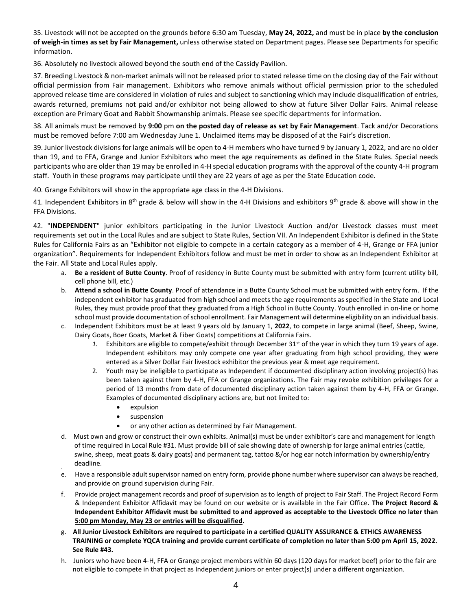35. Livestock will not be accepted on the grounds before 6:30 am Tuesday, **May 24, 2022,** and must be in place **by the conclusion of weigh-in times as set by Fair Management,** unless otherwise stated on Department pages. Please see Departments for specific information.

36. Absolutely no livestock allowed beyond the south end of the Cassidy Pavilion.

37. Breeding Livestock & non-market animals will not be released prior to stated release time on the closing day of the Fair without official permission from Fair management. Exhibitors who remove animals without official permission prior to the scheduled approved release time are considered in violation of rules and subject to sanctioning which may include disqualification of entries, awards returned, premiums not paid and/or exhibitor not being allowed to show at future Silver Dollar Fairs. Animal release exception are Primary Goat and Rabbit Showmanship animals. Please see specific departments for information.

38. All animals must be removed by **9:00** pm **on the posted day of release as set by Fair Management**. Tack and/or Decorations must be removed before 7:00 am Wednesday June 1. Unclaimed items may be disposed of at the Fair's discretion.

39. Junior livestock divisions for large animals will be open to 4-H members who have turned 9 by January 1, 2022, and are no older than 19, and to FFA, Grange and Junior Exhibitors who meet the age requirements as defined in the State Rules. Special needs participants who are older than 19 may be enrolled in 4-H special education programs with the approval of the county 4-H program staff. Youth in these programs may participate until they are 22 years of age as per the State Education code.

40. Grange Exhibitors will show in the appropriate age class in the 4-H Divisions.

41. Independent Exhibitors in 8<sup>th</sup> grade & below will show in the 4-H Divisions and exhibitors 9<sup>th</sup> grade & above will show in the FFA Divisions.

42. "**INDEPENDENT**" junior exhibitors participating in the Junior Livestock Auction and/or Livestock classes must meet requirements set out in the Local Rules and are subject to State Rules, Section VII. An Independent Exhibitor is defined in the State Rules for California Fairs as an "Exhibitor not eligible to compete in a certain category as a member of 4-H, Grange or FFA junior organization". Requirements for Independent Exhibitors follow and must be met in order to show as an Independent Exhibitor at the Fair. All State and Local Rules apply.

- a. **Be a resident of Butte County**. Proof of residency in Butte County must be submitted with entry form (current utility bill, cell phone bill, etc.)
- b. **Attend a school in Butte County**. Proof of attendance in a Butte County School must be submitted with entry form. If the independent exhibitor has graduated from high school and meets the age requirements as specified in the State and Local Rules, they must provide proof that they graduated from a High School in Butte County. Youth enrolled in on-line or home school must provide documentation of school enrollment. Fair Management will determine eligibility on an individual basis.
- c. Independent Exhibitors must be at least 9 years old by January 1, **2022**, to compete in large animal (Beef, Sheep, Swine, Dairy Goats, Boer Goats, Market & Fiber Goats) competitions at California Fairs.
	- 1. Exhibitors are eligible to compete/exhibit through December 31<sup>st</sup> of the year in which they turn 19 years of age. Independent exhibitors may only compete one year after graduating from high school providing, they were entered as a Silver Dollar Fair livestock exhibitor the previous year & meet age requirement.
	- 2. Youth may be ineligible to participate as Independent if documented disciplinary action involving project(s) has been taken against them by 4-H, FFA or Grange organizations. The Fair may revoke exhibition privileges for a period of 13 months from date of documented disciplinary action taken against them by 4-H, FFA or Grange. Examples of documented disciplinary actions are, but not limited to:
		- expulsion
		- suspension
		- or any other action as determined by Fair Management.
- d. Must own and grow or construct their own exhibits. Animal(s) must be under exhibitor's care and management for length of time required in Local Rule #31. Must provide bill of sale showing date of ownership for large animal entries (cattle, swine, sheep, meat goats & dairy goats) and permanent tag, tattoo &/or hog ear notch information by ownership/entry deadline.
- e. Have a responsible adult supervisor named on entry form, provide phone number where supervisor can always be reached, and provide on ground supervision during Fair.
- f. Provide project management records and proof of supervision as to length of project to Fair Staff. The Project Record Form & Independent Exhibitor Affidavit may be found on our website or is available in the Fair Office. **The Project Record & Independent Exhibitor Affidavit must be submitted to and approved as acceptable to the Livestock Office no later than 5:00 pm Monday, May 23 or entries will be disqualified.**
- g. **All Junior Livestock Exhibitors are required to participate in a certified QUALITY ASSURANCE & ETHICS AWARENESS TRAINING or complete YQCA training and provide current certificate of completion no later than 5:00 pm April 15, 2022. See Rule #43.**
- h. Juniors who have been 4-H, FFA or Grange project members within 60 days (120 days for market beef) prior to the fair are not eligible to compete in that project as Independent juniors or enter project(s) under a different organization.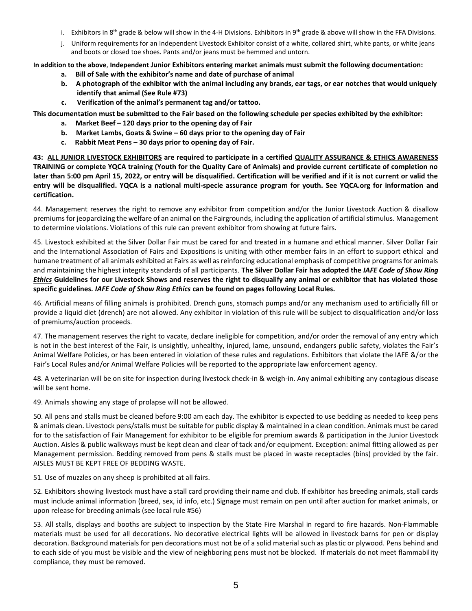- i. Exhibitors in 8<sup>th</sup> grade & below will show in the 4-H Divisions. Exhibitors in 9<sup>th</sup> grade & above will show in the FFA Divisions.
- j. Uniform requirements for an Independent Livestock Exhibitor consist of a white, collared shirt, white pants, or white jeans and boots or closed toe shoes. Pants and/or jeans must be hemmed and untorn.

**In addition to the above**, **Independent Junior Exhibitors entering market animals must submit the following documentation:**

- **a. Bill of Sale with the exhibitor's name and date of purchase of animal**
- **b. A photograph of the exhibitor with the animal including any brands, ear tags, or ear notches that would uniquely identify that animal (See Rule #73)**
- **c. Verification of the animal's permanent tag and/or tattoo.**

**This documentation must be submitted to the Fair based on the following schedule per species exhibited by the exhibitor:**

- **a. Market Beef – 120 days prior to the opening day of Fair**
- **b. Market Lambs, Goats & Swine – 60 days prior to the opening day of Fair**
- **c. Rabbit Meat Pens – 30 days prior to opening day of Fair.**

**43: ALL JUNIOR LIVESTOCK EXHIBITORS are required to participate in a certified QUALITY ASSURANCE & ETHICS AWARENESS TRAINING or complete YQCA training (Youth for the Quality Care of Animals) and provide current certificate of completion no later than 5:00 pm April 15, 2022, or entry will be disqualified. Certification will be verified and if it is not current or valid the entry will be disqualified. YQCA is a national multi-specie assurance program for youth. See YQCA.org for information and certification.**

44. Management reserves the right to remove any exhibitor from competition and/or the Junior Livestock Auction & disallow premiums for jeopardizing the welfare of an animal on the Fairgrounds, including the application of artificial stimulus. Management to determine violations. Violations of this rule can prevent exhibitor from showing at future fairs.

45. Livestock exhibited at the Silver Dollar Fair must be cared for and treated in a humane and ethical manner. Silver Dollar Fair and the International Association of Fairs and Expositions is uniting with other member fairs in an effort to support ethical and humane treatment of all animals exhibited at Fairs as well as reinforcing educational emphasis of competitive programs for animals and maintaining the highest integrity standards of all participants. **The Silver Dollar Fair has adopted the** *IAFE Code of Show Ring Ethics* **Guidelines for our Livestock Shows and reserves the right to disqualify any animal or exhibitor that has violated those specific guidelines***. IAFE Code of Show Ring Ethics* **can be found on pages following Local Rules.**

46. Artificial means of filling animals is prohibited. Drench guns, stomach pumps and/or any mechanism used to artificially fill or provide a liquid diet (drench) are not allowed. Any exhibitor in violation of this rule will be subject to disqualification and/or loss of premiums/auction proceeds.

47. The management reserves the right to vacate, declare ineligible for competition, and/or order the removal of any entry which is not in the best interest of the Fair, is unsightly, unhealthy, injured, lame, unsound, endangers public safety, violates the Fair's Animal Welfare Policies, or has been entered in violation of these rules and regulations. Exhibitors that violate the IAFE &/or the Fair's Local Rules and/or Animal Welfare Policies will be reported to the appropriate law enforcement agency.

48. A veterinarian will be on site for inspection during livestock check-in & weigh-in. Any animal exhibiting any contagious disease will be sent home.

49. Animals showing any stage of prolapse will not be allowed.

50. All pens and stalls must be cleaned before 9:00 am each day. The exhibitor is expected to use bedding as needed to keep pens & animals clean. Livestock pens/stalls must be suitable for public display & maintained in a clean condition. Animals must be cared for to the satisfaction of Fair Management for exhibitor to be eligible for premium awards & participation in the Junior Livestock Auction. Aisles & public walkways must be kept clean and clear of tack and/or equipment. Exception: animal fitting allowed as per Management permission. Bedding removed from pens & stalls must be placed in waste receptacles (bins) provided by the fair. AISLES MUST BE KEPT FREE OF BEDDING WASTE.

51. Use of muzzles on any sheep is prohibited at all fairs.

52. Exhibitors showing livestock must have a stall card providing their name and club. If exhibitor has breeding animals, stall cards must include animal information (breed, sex, id info, etc.) Signage must remain on pen until after auction for market animals, or upon release for breeding animals (see local rule #56)

53. All stalls, displays and booths are subject to inspection by the State Fire Marshal in regard to fire hazards. Non-Flammable materials must be used for all decorations. No decorative electrical lights will be allowed in livestock barns for pen or display decoration. Background materials for pen decorations must not be of a solid material such as plastic or plywood. Pens behind and to each side of you must be visible and the view of neighboring pens must not be blocked. If materials do not meet flammability compliance, they must be removed.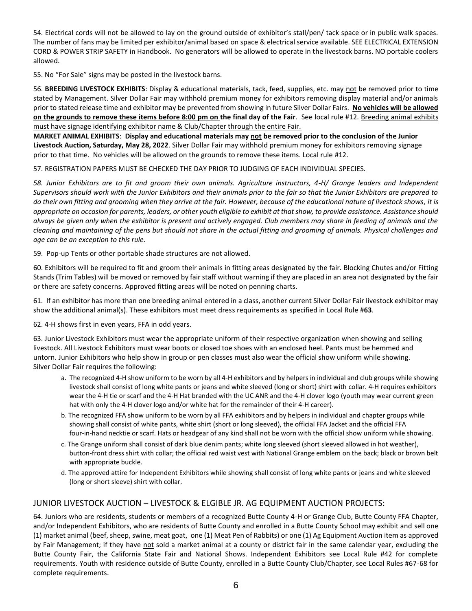54. Electrical cords will not be allowed to lay on the ground outside of exhibitor's stall/pen/ tack space or in public walk spaces. The number of fans may be limited per exhibitor/animal based on space & electrical service available. SEE ELECTRICAL EXTENSION CORD & POWER STRIP SAFETY in Handbook. No generators will be allowed to operate in the livestock barns. NO portable coolers allowed.

55. No "For Sale" signs may be posted in the livestock barns.

56. **BREEDING LIVESTOCK EXHIBITS**: Display & educational materials, tack, feed, supplies, etc. may not be removed prior to time stated by Management. Silver Dollar Fair may withhold premium money for exhibitors removing display material and/or animals prior to stated release time and exhibitor may be prevented from showing in future Silver Dollar Fairs. **No vehicles will be allowed on the grounds to remove these items before 8:00 pm on the final day of the Fair**. See local rule #12. Breeding animal exhibits must have signage identifying exhibitor name & Club/Chapter through the entire Fair.

**MARKET ANIMAL EXHIBITS**: **Display and educational materials may not be removed prior to the conclusion of the Junior Livestock Auction, Saturday, May 28, 2022**. Silver Dollar Fair may withhold premium money for exhibitors removing signage prior to that time. No vehicles will be allowed on the grounds to remove these items. Local rule #12.

57. REGISTRATION PAPERS MUST BE CHECKED THE DAY PRIOR TO JUDGING OF EACH INDIVIDUAL SPECIES.

*58. Junior Exhibitors are to fit and groom their own animals. Agriculture instructors, 4-H/ Grange leaders and Independent Supervisors should work with the Junior Exhibitors and their animals prior to the fair so that the Junior Exhibitors are prepared to do their own fitting and grooming when they arrive at the fair. However, because of the educational nature of livestock shows, it is appropriate on occasion for parents, leaders, or other youth eligible to exhibit at that show, to provide assistance. Assistance should always be given only when the exhibitor is present and actively engaged. Club members may share in feeding of animals and the cleaning and maintaining of the pens but should not share in the actual fitting and grooming of animals. Physical challenges and age can be an exception to this rule.* 

59. Pop-up Tents or other portable shade structures are not allowed.

60. Exhibitors will be required to fit and groom their animals in fitting areas designated by the fair. Blocking Chutes and/or Fitting Stands (Trim Tables) will be moved or removed by fair staff without warning if they are placed in an area not designated by the fair or there are safety concerns. Approved fitting areas will be noted on penning charts.

61. If an exhibitor has more than one breeding animal entered in a class, another current Silver Dollar Fair livestock exhibitor may show the additional animal(s). These exhibitors must meet dress requirements as specified in Local Rule #**63**.

62. 4-H shows first in even years, FFA in odd years.

63. Junior Livestock Exhibitors must wear the appropriate uniform of their respective organization when showing and selling livestock. All Livestock Exhibitors must wear boots or closed toe shoes with an enclosed heel. Pants must be hemmed and untorn. Junior Exhibitors who help show in group or pen classes must also wear the official show uniform while showing. Silver Dollar Fair requires the following:

- a. The recognized 4-H show uniform to be worn by all 4-H exhibitors and by helpers in individual and club groups while showing livestock shall consist of long white pants or jeans and white sleeved (long or short) shirt with collar. 4-H requires exhibitors wear the 4-H tie or scarf and the 4-H Hat branded with the UC ANR and the 4-H clover logo (youth may wear current green hat with only the 4-H clover logo and/or white hat for the remainder of their 4-H career).
- b. The recognized FFA show uniform to be worn by all FFA exhibitors and by helpers in individual and chapter groups while showing shall consist of white pants, white shirt (short or long sleeved), the official FFA Jacket and the official FFA four-in-hand necktie or scarf. Hats or headgear of any kind shall not be worn with the official show uniform while showing.
- c. The Grange uniform shall consist of dark blue denim pants; white long sleeved (short sleeved allowed in hot weather), button-front dress shirt with collar; the official red waist vest with National Grange emblem on the back; black or brown belt with appropriate buckle.
- d. The approved attire for Independent Exhibitors while showing shall consist of long white pants or jeans and white sleeved (long or short sleeve) shirt with collar.

# JUNIOR LIVESTOCK AUCTION – LIVESTOCK & ELGIBLE JR. AG EQUIPMENT AUCTION PROJECTS:

64. Juniors who are residents, students or members of a recognized Butte County 4-H or Grange Club, Butte County FFA Chapter, and/or Independent Exhibitors, who are residents of Butte County and enrolled in a Butte County School may exhibit and sell one (1) market animal (beef, sheep, swine, meat goat, one (1) Meat Pen of Rabbits) or one (1) Ag Equipment Auction item as approved by Fair Management; if they have not sold a market animal at a county or district fair in the same calendar year, excluding the Butte County Fair, the California State Fair and National Shows. Independent Exhibitors see Local Rule #42 for complete requirements. Youth with residence outside of Butte County, enrolled in a Butte County Club/Chapter, see Local Rules #67-68 for complete requirements.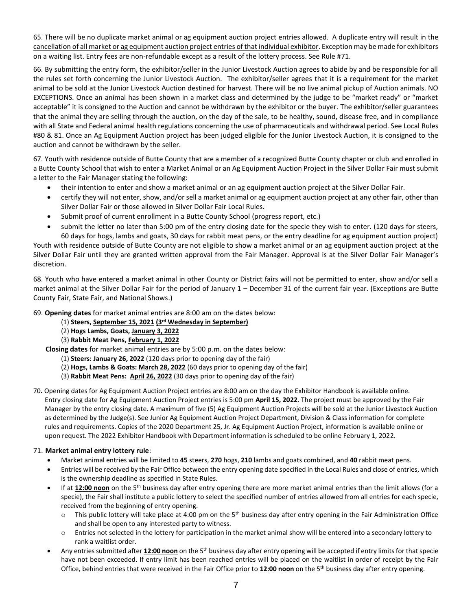65. There will be no duplicate market animal or ag equipment auction project entries allowed. A duplicate entry will result in the cancellation of all market or ag equipment auction project entries of that individual exhibitor. Exception may be made for exhibitors on a waiting list. Entry fees are non-refundable except as a result of the lottery process. See Rule #71.

66. By submitting the entry form, the exhibitor/seller in the Junior Livestock Auction agrees to abide by and be responsible for all the rules set forth concerning the Junior Livestock Auction. The exhibitor/seller agrees that it is a requirement for the market animal to be sold at the Junior Livestock Auction destined for harvest. There will be no live animal pickup of Auction animals. NO EXCEPTIONS. Once an animal has been shown in a market class and determined by the judge to be "market ready" or "market acceptable" it is consigned to the Auction and cannot be withdrawn by the exhibitor or the buyer. The exhibitor/seller guarantees that the animal they are selling through the auction, on the day of the sale, to be healthy, sound, disease free, and in compliance with all State and Federal animal health regulations concerning the use of pharmaceuticals and withdrawal period. See Local Rules #80 & 81. Once an Ag Equipment Auction project has been judged eligible for the Junior Livestock Auction, it is consigned to the auction and cannot be withdrawn by the seller.

67. Youth with residence outside of Butte County that are a member of a recognized Butte County chapter or club and enrolled in a Butte County School that wish to enter a Market Animal or an Ag Equipment Auction Project in the Silver Dollar Fair must submit a letter to the Fair Manager stating the following:

- their intention to enter and show a market animal or an ag equipment auction project at the Silver Dollar Fair.
- certify they will not enter, show, and/or sell a market animal or ag equipment auction project at any other fair, other than Silver Dollar Fair or those allowed in Silver Dollar Fair Local Rules.
- Submit proof of current enrollment in a Butte County School (progress report, etc.)
- submit the letter no later than 5:00 pm of the entry closing date for the specie they wish to enter. (120 days for steers, 60 days for hogs, lambs and goats, 30 days for rabbit meat pens, or the entry deadline for ag equipment auction project)

Youth with residence outside of Butte County are not eligible to show a market animal or an ag equipment auction project at the Silver Dollar Fair until they are granted written approval from the Fair Manager. Approval is at the Silver Dollar Fair Manager's discretion.

68. Youth who have entered a market animal in other County or District fairs will not be permitted to enter, show and/or sell a market animal at the Silver Dollar Fair for the period of January 1 – December 31 of the current fair year. (Exceptions are Butte County Fair, State Fair, and National Shows.)

69. **Opening dates** for market animal entries are 8:00 am on the dates below:

- (1) **Steers, September 15, 2021 (3rd Wednesday in September)**
- (2) **Hogs Lambs, Goats, January 3, 2022**
- (3) **Rabbit Meat Pens, February 1, 2022**

 **Closing dates** for market animal entries are by 5:00 p.m. on the dates below:

- (1) **Steers: January 26, 2022** (120 days prior to opening day of the fair)
- (2) **Hogs, Lambs & Goats: March 28, 2022** (60 days prior to opening day of the fair)
- (3) **Rabbit Meat Pens: April 26, 2022** (30 days prior to opening day of the fair)

70**.** Opening dates for Ag Equipment Auction Project entries are 8:00 am on the day the Exhibitor Handbook is available online. Entry closing date for Ag Equipment Auction Project entries is 5:00 pm **April 15, 2022**. The project must be approved by the Fair Manager by the entry closing date. A maximum of five (5) Ag Equipment Auction Projects will be sold at the Junior Livestock Auction as determined by the Judge(s). See Junior Ag Equipment Auction Project Department, Division & Class information for complete rules and requirements. Copies of the 2020 Department 25, Jr. Ag Equipment Auction Project, information is available online or upon request. The 2022 Exhibitor Handbook with Department information is scheduled to be online February 1, 2022.

### 71. **Market animal entry lottery rule**:

- Market animal entries will be limited to **45** steers, **270** hogs, **210** lambs and goats combined, and **40** rabbit meat pens.
- Entries will be received by the Fair Office between the entry opening date specified in the Local Rules and close of entries, which is the ownership deadline as specified in State Rules.
- If at 12:00 noon on the 5<sup>th</sup> business day after entry opening there are more market animal entries than the limit allows (for a specie), the Fair shall institute a public lottery to select the specified number of entries allowed from all entries for each specie, received from the beginning of entry opening.
	- $\circ$  This public lottery will take place at 4:00 pm on the 5<sup>th</sup> business day after entry opening in the Fair Administration Office and shall be open to any interested party to witness.
	- o Entries not selected in the lottery for participation in the market animal show will be entered into a secondary lottery to rank a waitlist order.
- Any entries submitted after 12:00 noon on the 5<sup>th</sup> business day after entry opening will be accepted if entry limits for that specie have not been exceeded. If entry limit has been reached entries will be placed on the waitlist in order of receipt by the Fair Office, behind entries that were received in the Fair Office prior to **12:00 noon** on the 5th business day after entry opening.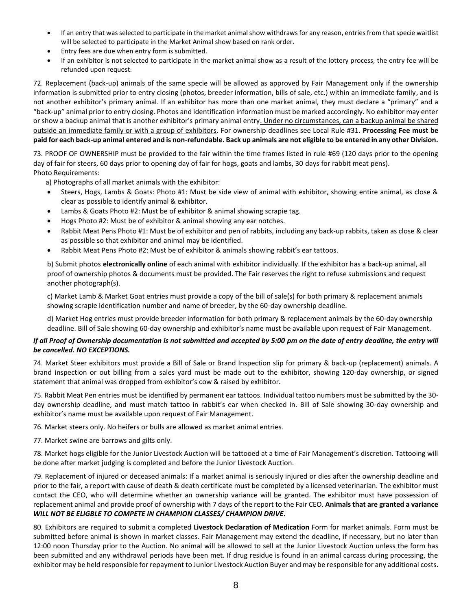- If an entry that was selected to participate in the market animal show withdraws for any reason, entries from that specie waitlist will be selected to participate in the Market Animal show based on rank order.
- Entry fees are due when entry form is submitted.
- If an exhibitor is not selected to participate in the market animal show as a result of the lottery process, the entry fee will be refunded upon request.

72. Replacement (back-up) animals of the same specie will be allowed as approved by Fair Management only if the ownership information is submitted prior to entry closing (photos, breeder information, bills of sale, etc.) within an immediate family, and is not another exhibitor's primary animal. If an exhibitor has more than one market animal, they must declare a "primary" and a "back-up" animal prior to entry closing. Photos and identification information must be marked accordingly. No exhibitor may enter or show a backup animal that is another exhibitor's primary animal entry. Under no circumstances, can a backup animal be shared outside an immediate family or with a group of exhibitors. For ownership deadlines see Local Rule #31. **Processing Fee must be paid for each back-up animal entered and is non-refundable. Back up animals are not eligible to be entered in any other Division.**

73. PROOF OF OWNERSHIP must be provided to the fair within the time frames listed in rule #69 (120 days prior to the opening day of fair for steers, 60 days prior to opening day of fair for hogs, goats and lambs, 30 days for rabbit meat pens). Photo Requirements:

a) Photographs of all market animals with the exhibitor:

- Steers, Hogs, Lambs & Goats: Photo #1: Must be side view of animal with exhibitor, showing entire animal, as close & clear as possible to identify animal & exhibitor.
- Lambs & Goats Photo #2: Must be of exhibitor & animal showing scrapie tag.
- Hogs Photo #2: Must be of exhibitor & animal showing any ear notches.
- Rabbit Meat Pens Photo #1: Must be of exhibitor and pen of rabbits, including any back-up rabbits, taken as close & clear as possible so that exhibitor and animal may be identified.
- Rabbit Meat Pens Photo #2: Must be of exhibitor & animals showing rabbit's ear tattoos.

b) Submit photos **electronically online** of each animal with exhibitor individually. If the exhibitor has a back-up animal, all proof of ownership photos & documents must be provided. The Fair reserves the right to refuse submissions and request another photograph(s).

c) Market Lamb & Market Goat entries must provide a copy of the bill of sale(s) for both primary & replacement animals showing scrapie identification number and name of breeder, by the 60-day ownership deadline.

d) Market Hog entries must provide breeder information for both primary & replacement animals by the 60-day ownership deadline. Bill of Sale showing 60-day ownership and exhibitor's name must be available upon request of Fair Management.

## *If all Proof of Ownership documentation is not submitted and accepted by 5:00 pm on the date of entry deadline, the entry will be cancelled. NO EXCEPTIONS.*

74. Market Steer exhibitors must provide a Bill of Sale or Brand Inspection slip for primary & back-up (replacement) animals. A brand inspection or out billing from a sales yard must be made out to the exhibitor, showing 120-day ownership, or signed statement that animal was dropped from exhibitor's cow & raised by exhibitor.

75. Rabbit Meat Pen entries must be identified by permanent ear tattoos. Individual tattoo numbers must be submitted by the 30 day ownership deadline, and must match tattoo in rabbit's ear when checked in. Bill of Sale showing 30-day ownership and exhibitor's name must be available upon request of Fair Management.

76. Market steers only. No heifers or bulls are allowed as market animal entries.

77. Market swine are barrows and gilts only.

78. Market hogs eligible for the Junior Livestock Auction will be tattooed at a time of Fair Management's discretion. Tattooing will be done after market judging is completed and before the Junior Livestock Auction.

79. Replacement of injured or deceased animals: If a market animal is seriously injured or dies after the ownership deadline and prior to the fair, a report with cause of death & death certificate must be completed by a licensed veterinarian. The exhibitor must contact the CEO, who will determine whether an ownership variance will be granted. The exhibitor must have possession of replacement animal and provide proof of ownership with 7 days of the report to the Fair CEO. **Animals that are granted a variance**  *WILL NOT BE ELIGBLE TO COMPETE IN CHAMPION CLASSES/ CHAMPION DRIVE***.** 

80. Exhibitors are required to submit a completed **Livestock Declaration of Medication** Form for market animals. Form must be submitted before animal is shown in market classes. Fair Management may extend the deadline, if necessary, but no later than 12:00 noon Thursday prior to the Auction. No animal will be allowed to sell at the Junior Livestock Auction unless the form has been submitted and any withdrawal periods have been met. If drug residue is found in an animal carcass during processing, the exhibitor may be held responsible for repayment to Junior Livestock Auction Buyer and may be responsible for any additional costs.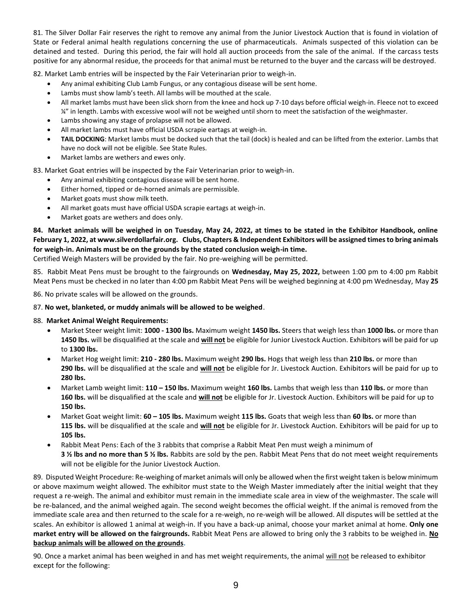81. The Silver Dollar Fair reserves the right to remove any animal from the Junior Livestock Auction that is found in violation of State or Federal animal health regulations concerning the use of pharmaceuticals. Animals suspected of this violation can be detained and tested. During this period, the fair will hold all auction proceeds from the sale of the animal. If the carcass tests positive for any abnormal residue, the proceeds for that animal must be returned to the buyer and the carcass will be destroyed.

82. Market Lamb entries will be inspected by the Fair Veterinarian prior to weigh-in.

- Any animal exhibiting Club Lamb Fungus, or any contagious disease will be sent home.
- Lambs must show lamb's teeth. All lambs will be mouthed at the scale.
- All market lambs must have been slick shorn from the knee and hock up 7-10 days before official weigh-in. Fleece not to exceed  $\frac{1}{4}$ " in length. Lambs with excessive wool will not be weighed until shorn to meet the satisfaction of the weighmaster.
- Lambs showing any stage of prolapse will not be allowed.
- All market lambs must have official USDA scrapie eartags at weigh-in.
- **TAIL DOCKING**: Market lambs must be docked such that the tail (dock) is healed and can be lifted from the exterior. Lambs that have no dock will not be eligible. See State Rules.
- Market lambs are wethers and ewes only.

83. Market Goat entries will be inspected by the Fair Veterinarian prior to weigh-in.

- Any animal exhibiting contagious disease will be sent home.
- Either horned, tipped or de-horned animals are permissible.
- Market goats must show milk teeth.
- All market goats must have official USDA scrapie eartags at weigh-in.
- Market goats are wethers and does only.

**84. Market animals will be weighed in on Tuesday, May 24, 2022, at times to be stated in the Exhibitor Handbook, online February 1, 2022, at www.silverdollarfair.org. Clubs, Chapters & Independent Exhibitors will be assigned times to bring animals for weigh-in. Animals must be on the grounds by the stated conclusion weigh-in time.**

Certified Weigh Masters will be provided by the fair. No pre-weighing will be permitted.

85. Rabbit Meat Pens must be brought to the fairgrounds on **Wednesday, May 25, 2022,** between 1:00 pm to 4:00 pm Rabbit Meat Pens must be checked in no later than 4:00 pm Rabbit Meat Pens will be weighed beginning at 4:00 pm Wednesday, May **25**

86. No private scales will be allowed on the grounds.

# 87. **No wet, blanketed, or muddy animals will be allowed to be weighed**.

### 88. **Market Animal Weight Requirements:**

- Market Steer weight limit: **1000 - 1300 lbs.** Maximum weight **1450 lbs.** Steers that weigh less than **1000 lbs.** or more than **1450 lbs.** will be disqualified at the scale and **will not** be eligible for Junior Livestock Auction. Exhibitors will be paid for up to **1300 lbs.**
- Market Hog weight limit: **210 - 280 lbs.** Maximum weight **290 lbs.** Hogs that weigh less than **210 lbs.** or more than **290 lbs.** will be disqualified at the scale and **will not** be eligible for Jr. Livestock Auction. Exhibitors will be paid for up to **280 lbs.**
- Market Lamb weight limit: **110 – 150 lbs.** Maximum weight **160 lbs.** Lambs that weigh less than **110 lbs.** or more than **160 lbs.** will be disqualified at the scale and **will not** be eligible for Jr. Livestock Auction. Exhibitors will be paid for up to **150 lbs.**
- Market Goat weight limit: **60 – 105 lbs.** Maximum weight **115 lbs.** Goats that weigh less than **60 lbs.** or more than **115 lbs.** will be disqualified at the scale and **will not** be eligible for Jr. Livestock Auction. Exhibitors will be paid for up to **105 lbs.**
- Rabbit Meat Pens: Each of the 3 rabbits that comprise a Rabbit Meat Pen must weigh a minimum of **3 ½ lbs and no more than 5 ½ lbs.** Rabbits are sold by the pen. Rabbit Meat Pens that do not meet weight requirements will not be eligible for the Junior Livestock Auction.

89. Disputed Weight Procedure: Re-weighing of market animals will only be allowed when the first weight taken is below minimum or above maximum weight allowed. The exhibitor must state to the Weigh Master immediately after the initial weight that they request a re-weigh. The animal and exhibitor must remain in the immediate scale area in view of the weighmaster. The scale will be re-balanced, and the animal weighed again. The second weight becomes the official weight. If the animal is removed from the immediate scale area and then returned to the scale for a re-weigh, no re-weigh will be allowed. All disputes will be settled at the scales. An exhibitor is allowed 1 animal at weigh-in. If you have a back-up animal, choose your market animal at home. **Only one market entry will be allowed on the fairgrounds.** Rabbit Meat Pens are allowed to bring only the 3 rabbits to be weighed in. **No backup animals will be allowed on the grounds.** 

90. Once a market animal has been weighed in and has met weight requirements, the animal will not be released to exhibitor except for the following: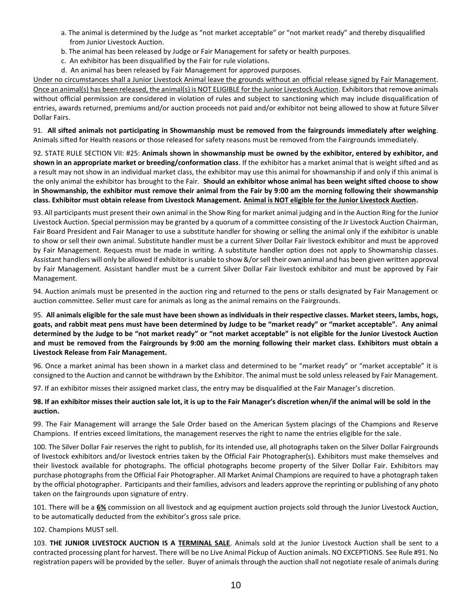- a. The animal is determined by the Judge as "not market acceptable" or "not market ready" and thereby disqualified from Junior Livestock Auction.
- b. The animal has been released by Judge or Fair Management for safety or health purposes.
- c. An exhibitor has been disqualified by the Fair for rule violations.
- d. An animal has been released by Fair Management for approved purposes.

Under no circumstances shall a Junior Livestock Animal leave the grounds without an official release signed by Fair Management. Once an animal(s) has been released, the animal(s) is NOT ELIGIBLE for the Junior Livestock Auction. Exhibitors that remove animals without official permission are considered in violation of rules and subject to sanctioning which may include disqualification of entries, awards returned, premiums and/or auction proceeds not paid and/or exhibitor not being allowed to show at future Silver Dollar Fairs.

91. **All sifted animals not participating in Showmanship must be removed from the fairgrounds immediately after weighing**. Animals sifted for Health reasons or those released for safety reasons must be removed from the Fairgrounds immediately.

92. STATE RULE SECTION VII: #25: **Animals shown in showmanship must be owned by the exhibitor, entered by exhibitor, and shown in an appropriate market or breeding/conformation class**. If the exhibitor has a market animal that is weight sifted and as a result may not show in an individual market class, the exhibitor may use this animal for showmanship if and only if this animal is the only animal the exhibitor has brought to the Fair. **Should an exhibitor whose animal has been weight sifted choose to show in Showmanship, the exhibitor must remove their animal from the Fair by 9:00 am the morning following their showmanship class. Exhibitor must obtain release from Livestock Management. Animal is NOT eligible for the Junior Livestock Auction.**

93. All participants must present their own animal in the Show Ring for market animal judging and in the Auction Ring for the Junior Livestock Auction. Special permission may be granted by a quorum of a committee consisting of the Jr Livestock Auction Chairman, Fair Board President and Fair Manager to use a substitute handler for showing or selling the animal only if the exhibitor is unable to show or sell their own animal. Substitute handler must be a current Silver Dollar Fair livestock exhibitor and must be approved by Fair Management. Requests must be made in writing. A substitute handler option does not apply to Showmanship classes. Assistant handlers will only be allowed if exhibitor is unable to show &/or sell their own animal and has been given written approval by Fair Management. Assistant handler must be a current Silver Dollar Fair livestock exhibitor and must be approved by Fair Management.

94. Auction animals must be presented in the auction ring and returned to the pens or stalls designated by Fair Management or auction committee. Seller must care for animals as long as the animal remains on the Fairgrounds.

95. **All animals eligible for the sale must have been shown as individuals in their respective classes. Market steers, lambs, hogs, goats, and rabbit meat pens must have been determined by Judge to be "market ready" or "market acceptable". Any animal determined by the Judge to be "not market ready" or "not market acceptable" is not eligible for the Junior Livestock Auction and must be removed from the Fairgrounds by 9:00 am the morning following their market class. Exhibitors must obtain a Livestock Release from Fair Management.**

96. Once a market animal has been shown in a market class and determined to be "market ready" or "market acceptable" it is consigned to the Auction and cannot be withdrawn by the Exhibitor. The animal must be sold unless released by Fair Management.

97. If an exhibitor misses their assigned market class, the entry may be disqualified at the Fair Manager's discretion.

### **98. If an exhibitor misses their auction sale lot, it is up to the Fair Manager's discretion when/if the animal will be sold in the auction.**

99. The Fair Management will arrange the Sale Order based on the American System placings of the Champions and Reserve Champions. If entries exceed limitations, the management reserves the right to name the entries eligible for the sale.

100. The Silver Dollar Fair reserves the right to publish, for its intended use, all photographs taken on the Silver Dollar Fairgrounds of livestock exhibitors and/or livestock entries taken by the Official Fair Photographer(s). Exhibitors must make themselves and their livestock available for photographs. The official photographs become property of the Silver Dollar Fair. Exhibitors may purchase photographs from the Official Fair Photographer. All Market Animal Champions are required to have a photograph taken by the official photographer. Participants and their families, advisors and leaders approve the reprinting or publishing of any photo taken on the fairgrounds upon signature of entry.

101. There will be a **6%** commission on all livestock and ag equipment auction projects sold through the Junior Livestock Auction, to be automatically deducted from the exhibitor's gross sale price.

102. Champions MUST sell.

103. **THE JUNIOR LIVESTOCK AUCTION IS A TERMINAL SALE**. Animals sold at the Junior Livestock Auction shall be sent to a contracted processing plant for harvest. There will be no Live Animal Pickup of Auction animals. NO EXCEPTIONS. See Rule #91. No registration papers will be provided by the seller. Buyer of animals through the auction shall not negotiate resale of animals during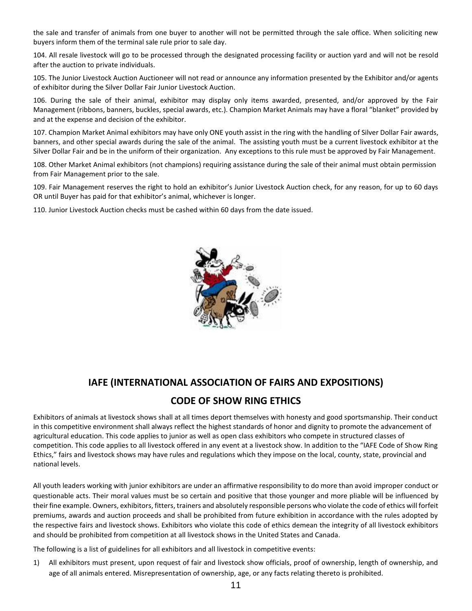the sale and transfer of animals from one buyer to another will not be permitted through the sale office. When soliciting new buyers inform them of the terminal sale rule prior to sale day.

104. All resale livestock will go to be processed through the designated processing facility or auction yard and will not be resold after the auction to private individuals.

105. The Junior Livestock Auction Auctioneer will not read or announce any information presented by the Exhibitor and/or agents of exhibitor during the Silver Dollar Fair Junior Livestock Auction.

106. During the sale of their animal, exhibitor may display only items awarded, presented, and/or approved by the Fair Management (ribbons, banners, buckles, special awards, etc.). Champion Market Animals may have a floral "blanket" provided by and at the expense and decision of the exhibitor.

107. Champion Market Animal exhibitors may have only ONE youth assist in the ring with the handling of Silver Dollar Fair awards, banners, and other special awards during the sale of the animal. The assisting youth must be a current livestock exhibitor at the Silver Dollar Fair and be in the uniform of their organization. Any exceptions to this rule must be approved by Fair Management.

108. Other Market Animal exhibitors (not champions) requiring assistance during the sale of their animal must obtain permission from Fair Management prior to the sale.

109. Fair Management reserves the right to hold an exhibitor's Junior Livestock Auction check, for any reason, for up to 60 days OR until Buyer has paid for that exhibitor's animal, whichever is longer.

110. Junior Livestock Auction checks must be cashed within 60 days from the date issued.



# **IAFE (INTERNATIONAL ASSOCIATION OF FAIRS AND EXPOSITIONS)**

# **CODE OF SHOW RING ETHICS**

Exhibitors of animals at livestock shows shall at all times deport themselves with honesty and good sportsmanship. Their conduct in this competitive environment shall always reflect the highest standards of honor and dignity to promote the advancement of agricultural education. This code applies to junior as well as open class exhibitors who compete in structured classes of competition. This code applies to all livestock offered in any event at a livestock show. In addition to the "IAFE Code of Show Ring Ethics," fairs and livestock shows may have rules and regulations which they impose on the local, county, state, provincial and national levels.

All youth leaders working with junior exhibitors are under an affirmative responsibility to do more than avoid improper conduct or questionable acts. Their moral values must be so certain and positive that those younger and more pliable will be influenced by their fine example. Owners, exhibitors, fitters, trainers and absolutely responsible persons who violate the code of ethics will forfeit premiums, awards and auction proceeds and shall be prohibited from future exhibition in accordance with the rules adopted by the respective fairs and livestock shows. Exhibitors who violate this code of ethics demean the integrity of all livestock exhibitors and should be prohibited from competition at all livestock shows in the United States and Canada.

The following is a list of guidelines for all exhibitors and all livestock in competitive events:

1) All exhibitors must present, upon request of fair and livestock show officials, proof of ownership, length of ownership, and age of all animals entered. Misrepresentation of ownership, age, or any facts relating thereto is prohibited.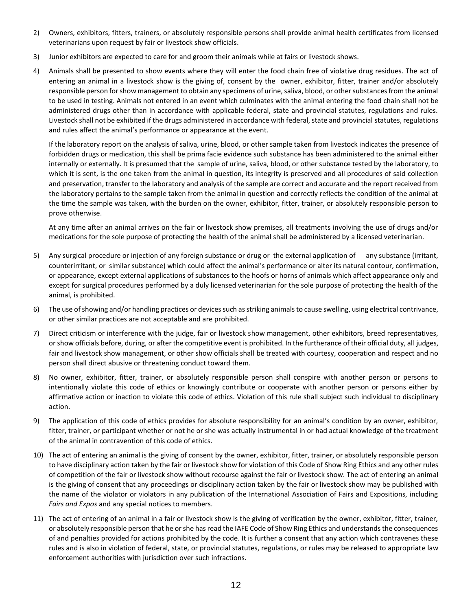- 2) Owners, exhibitors, fitters, trainers, or absolutely responsible persons shall provide animal health certificates from licensed veterinarians upon request by fair or livestock show officials.
- 3) Junior exhibitors are expected to care for and groom their animals while at fairs or livestock shows.
- 4) Animals shall be presented to show events where they will enter the food chain free of violative drug residues. The act of entering an animal in a livestock show is the giving of, consent by the owner, exhibitor, fitter, trainer and/or absolutely responsible person for show management to obtain any specimens of urine, saliva, blood, or other substances from the animal to be used in testing. Animals not entered in an event which culminates with the animal entering the food chain shall not be administered drugs other than in accordance with applicable federal, state and provincial statutes, regulations and rules. Livestock shall not be exhibited if the drugs administered in accordance with federal, state and provincial statutes, regulations and rules affect the animal's performance or appearance at the event.

If the laboratory report on the analysis of saliva, urine, blood, or other sample taken from livestock indicates the presence of forbidden drugs or medication, this shall be prima facie evidence such substance has been administered to the animal either internally or externally. It is presumed that the sample of urine, saliva, blood, or other substance tested by the laboratory, to which it is sent, is the one taken from the animal in question, its integrity is preserved and all procedures of said collection and preservation, transfer to the laboratory and analysis of the sample are correct and accurate and the report received from the laboratory pertains to the sample taken from the animal in question and correctly reflects the condition of the animal at the time the sample was taken, with the burden on the owner, exhibitor, fitter, trainer, or absolutely responsible person to prove otherwise.

At any time after an animal arrives on the fair or livestock show premises, all treatments involving the use of drugs and/or medications for the sole purpose of protecting the health of the animal shall be administered by a licensed veterinarian.

- 5) Any surgical procedure or injection of any foreign substance or drug or the external application of any substance (irritant, counterirritant, or similar substance) which could affect the animal's performance or alter its natural contour, confirmation, or appearance, except external applications of substances to the hoofs or horns of animals which affect appearance only and except for surgical procedures performed by a duly licensed veterinarian for the sole purpose of protecting the health of the animal, is prohibited.
- 6) The use of showing and/or handling practices or devices such as striking animals to cause swelling, using electrical contrivance, or other similar practices are not acceptable and are prohibited.
- 7) Direct criticism or interference with the judge, fair or livestock show management, other exhibitors, breed representatives, or show officials before, during, or after the competitive event is prohibited. In the furtherance of their official duty, all judges, fair and livestock show management, or other show officials shall be treated with courtesy, cooperation and respect and no person shall direct abusive or threatening conduct toward them.
- 8) No owner, exhibitor, fitter, trainer, or absolutely responsible person shall conspire with another person or persons to intentionally violate this code of ethics or knowingly contribute or cooperate with another person or persons either by affirmative action or inaction to violate this code of ethics. Violation of this rule shall subject such individual to disciplinary action.
- 9) The application of this code of ethics provides for absolute responsibility for an animal's condition by an owner, exhibitor, fitter, trainer, or participant whether or not he or she was actually instrumental in or had actual knowledge of the treatment of the animal in contravention of this code of ethics.
- 10) The act of entering an animal is the giving of consent by the owner, exhibitor, fitter, trainer, or absolutely responsible person to have disciplinary action taken by the fair or livestock show for violation of this Code of Show Ring Ethics and any other rules of competition of the fair or livestock show without recourse against the fair or livestock show. The act of entering an animal is the giving of consent that any proceedings or disciplinary action taken by the fair or livestock show may be published with the name of the violator or violators in any publication of the International Association of Fairs and Expositions, including *Fairs and Expos* and any special notices to members.
- 11) The act of entering of an animal in a fair or livestock show is the giving of verification by the owner, exhibitor, fitter, trainer, or absolutely responsible person that he or she has read the IAFE Code of Show Ring Ethics and understands the consequences of and penalties provided for actions prohibited by the code. It is further a consent that any action which contravenes these rules and is also in violation of federal, state, or provincial statutes, regulations, or rules may be released to appropriate law enforcement authorities with jurisdiction over such infractions.